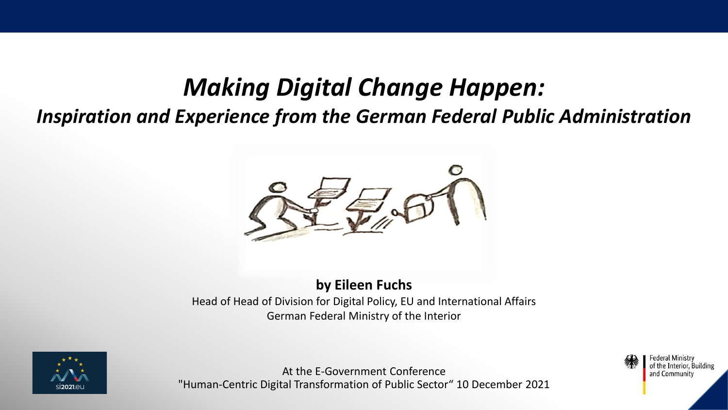# *Making Digital Change Happen:*

# *Inspiration and Experience from the German Federal Public Administration*



#### **by Eileen Fuchs**

Head of Head of Division for Digital Policy, EU and International Affairs German Federal Ministry of the Interior



At the E-Government Conference "Human-Centric Digital Transformation of Public Sector" 10 December 2021

Federal Ministry of the Interior, Building and Community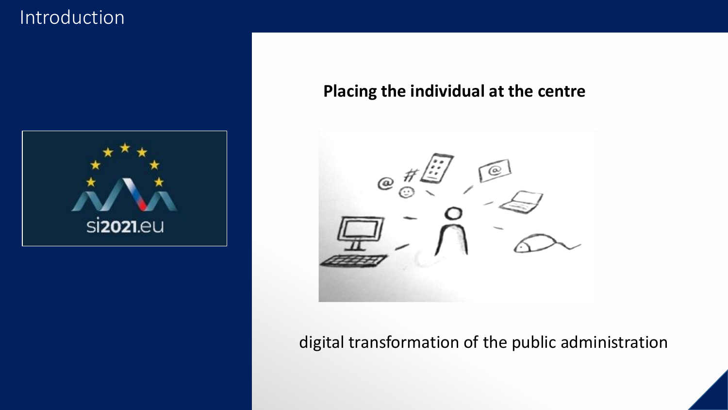### Introduction



#### **Placing the individual at the centre**



#### digital transformation of the public administration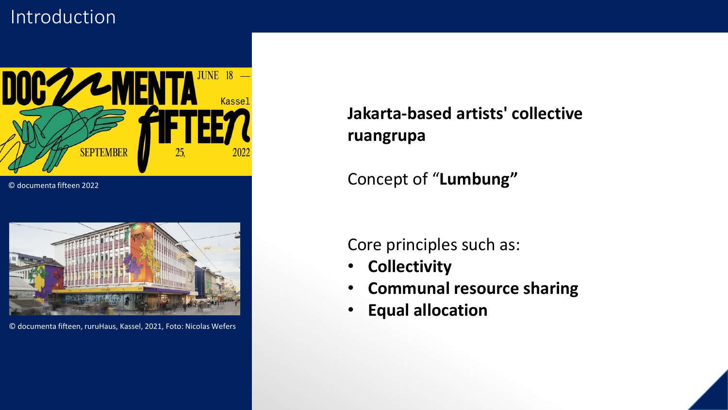### Introduction



© documenta fifteen 2022



© documenta fifteen, ruruHaus, Kassel, 2021, Foto: Nicolas Wefers

#### **Jakarta-based artists' collective ruangrupa**

Concept of "**Lumbung"**

Core principles such as:

- **Collectivity**
- **Communal resource sharing**
- **Equal allocation**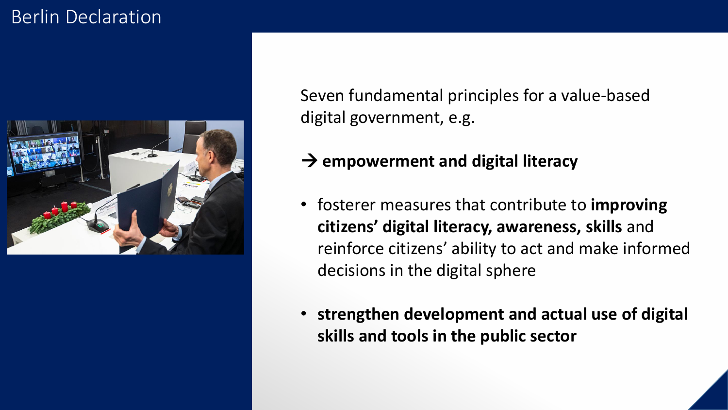# Berlin Declaration



Seven fundamental principles for a value-based digital government, e.g.

#### → **empowerment and digital literacy**

- fosterer measures that contribute to **improving citizens' digital literacy, awareness, skills** and reinforce citizens' ability to act and make informed decisions in the digital sphere
- **strengthen development and actual use of digital skills and tools in the public sector**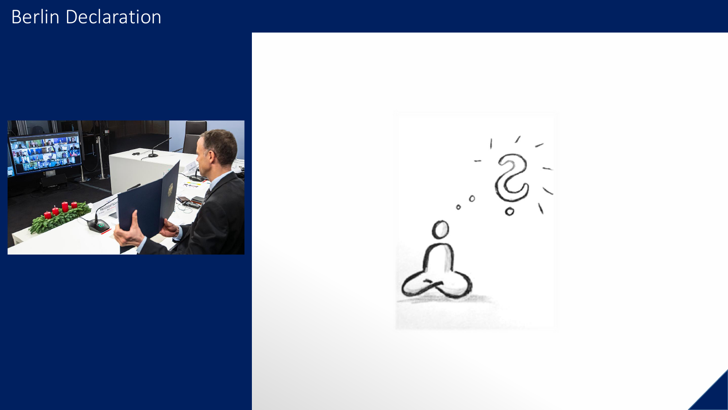# Berlin Declaration



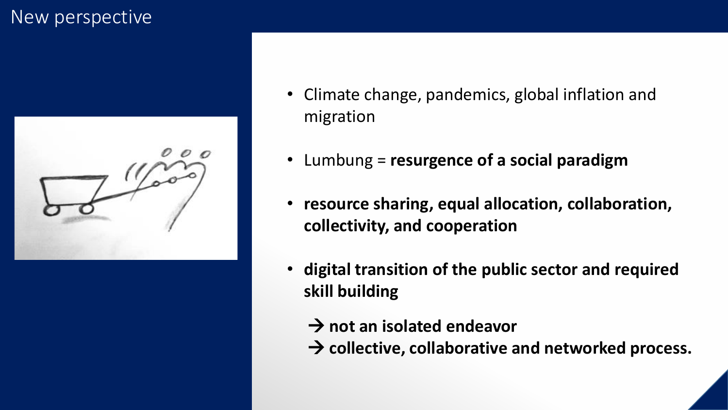#### New perspective



- Climate change, pandemics, global inflation and migration
- Lumbung = **resurgence of a social paradigm**
- **resource sharing, equal allocation, collaboration, collectivity, and cooperation**
- **digital transition of the public sector and required skill building**
	- → **not an isolated endeavor**
	- → collective, collaborative and networked process.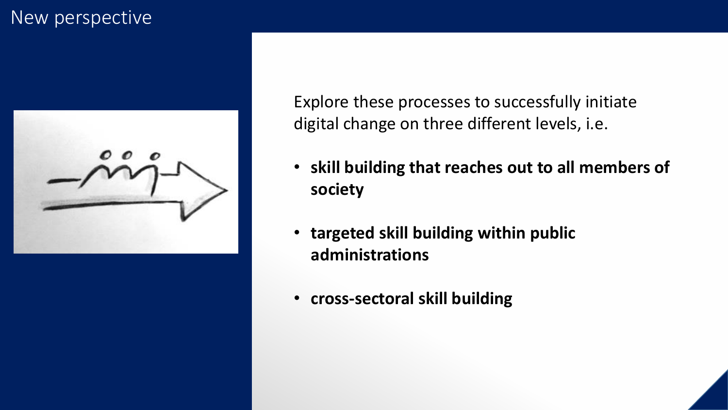#### New perspective



Explore these processes to successfully initiate digital change on three different levels, i.e.

- **skill building that reaches out to all members of society**
- **targeted skill building within public administrations**
- **cross-sectoral skill building**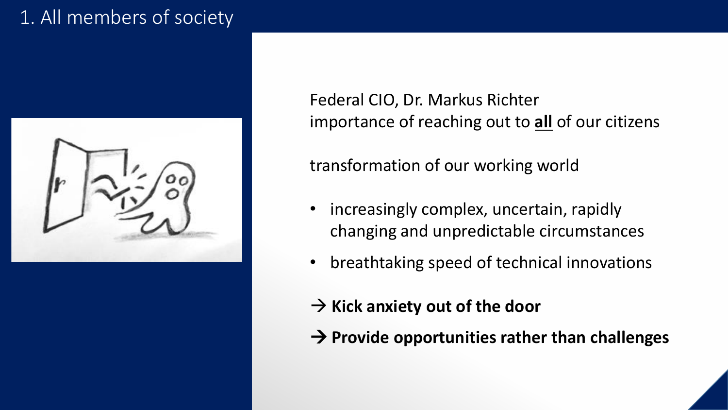# 1. All members of society



Federal CIO, Dr. Markus Richter importance of reaching out to **all** of our citizens

transformation of our working world

- increasingly complex, uncertain, rapidly changing and unpredictable circumstances
- breathtaking speed of technical innovations
- → **Kick anxiety out of the door**
- → **Provide opportunities rather than challenges**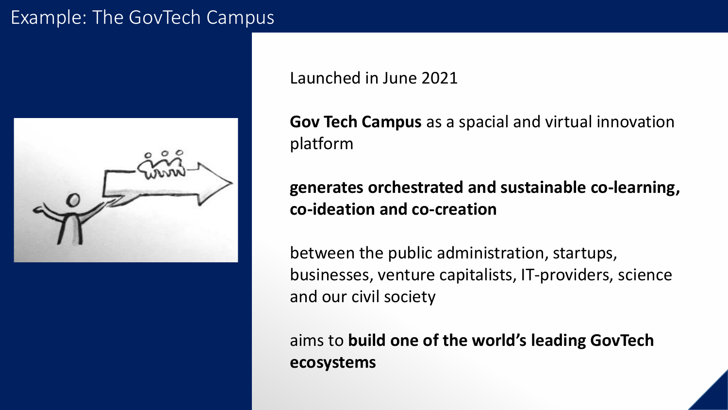#### Example: The GovTech Campus



Launched in June 2021

**Gov Tech Campus** as a spacial and virtual innovation platform

#### **generates orchestrated and sustainable co-learning, co-ideation and co-creation**

between the public administration, startups, businesses, venture capitalists, IT-providers, science and our civil society

aims to **build one of the world's leading GovTech ecosystems**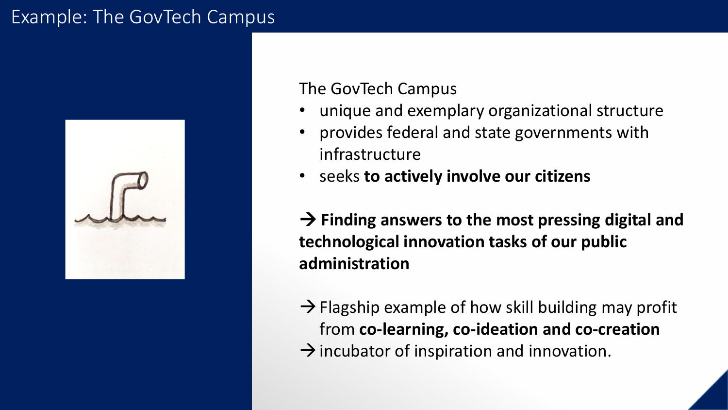### Example: The GovTech Campus



#### The GovTech Campus

- unique and exemplary organizational structure
- provides federal and state governments with infrastructure
- seeks **to actively involve our citizens**

→ **Finding answers to the most pressing digital and technological innovation tasks of our public administration**

 $\rightarrow$  Flagship example of how skill building may profit from **co-learning, co-ideation and co-creation**   $\rightarrow$  incubator of inspiration and innovation.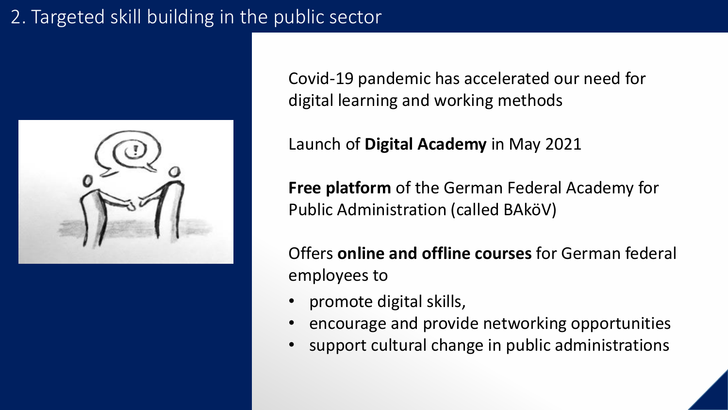# 2. Targeted skill building in the public sector



Covid-19 pandemic has accelerated our need for digital learning and working methods

Launch of **Digital Academy** in May 2021

**Free platform** of the German Federal Academy for Public Administration (called BAköV)

Offers **online and offline courses** for German federal employees to

- promote digital skills,
- encourage and provide networking opportunities
- support cultural change in public administrations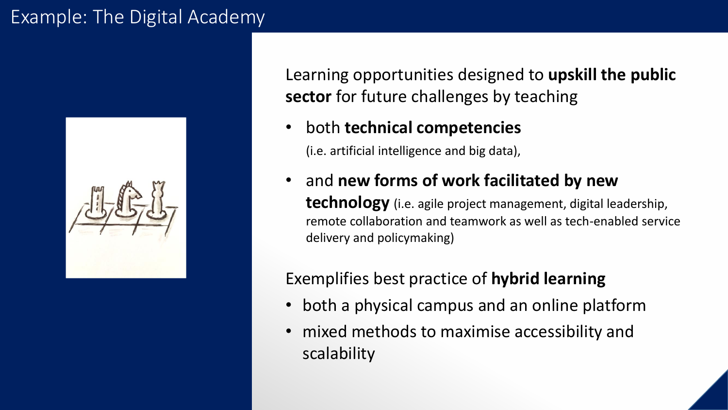#### Example: The Digital Academy



Learning opportunities designed to **upskill the public sector** for future challenges by teaching

• both **technical competencies**

(i.e. artificial intelligence and big data),

• and **new forms of work facilitated by new technology** (i.e. agile project management, digital leadership, remote collaboration and teamwork as well as tech-enabled service delivery and policymaking)

#### Exemplifies best practice of **hybrid learning**

- both a physical campus and an online platform
- mixed methods to maximise accessibility and scalability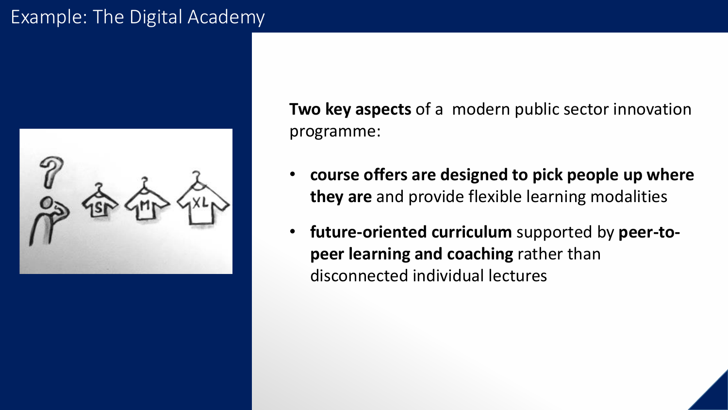### Example: The Digital Academy



**Two key aspects** of a modern public sector innovation programme:

- **course offers are designed to pick people up where they are** and provide flexible learning modalities
- **future-oriented curriculum** supported by **peer-topeer learning and coaching** rather than disconnected individual lectures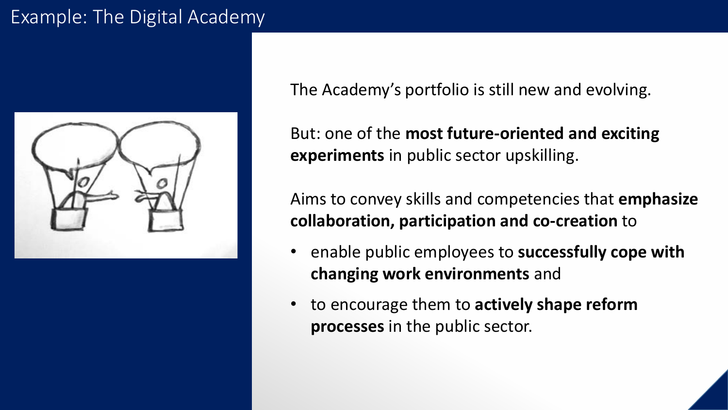### Example: The Digital Academy



The Academy's portfolio is still new and evolving.

But: one of the **most future-oriented and exciting experiments** in public sector upskilling.

Aims to convey skills and competencies that **emphasize collaboration, participation and co-creation** to

- enable public employees to **successfully cope with changing work environments** and
- to encourage them to **actively shape reform processes** in the public sector.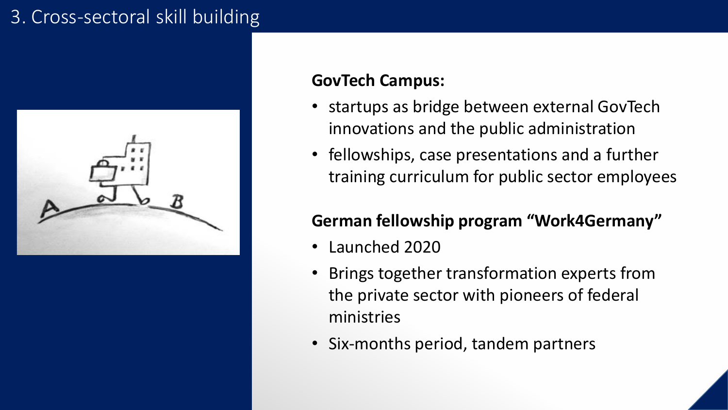# 3. Cross-sectoral skill building



#### **GovTech Campus:**

- startups as bridge between external GovTech innovations and the public administration
- fellowships, case presentations and a further training curriculum for public sector employees

#### **German fellowship program "Work4Germany"**

- Launched 2020
- Brings together transformation experts from the private sector with pioneers of federal ministries
- Six-months period, tandem partners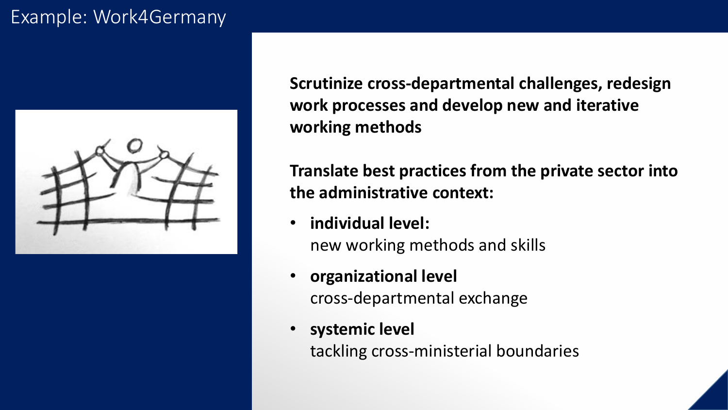# Example: Work4Germany



**Scrutinize cross-departmental challenges, redesign work processes and develop new and iterative working methods**

**Translate best practices from the private sector into the administrative context:** 

- **individual level:**  new working methods and skills
- **organizational level**  cross-departmental exchange
	- **systemic level** tackling cross-ministerial boundaries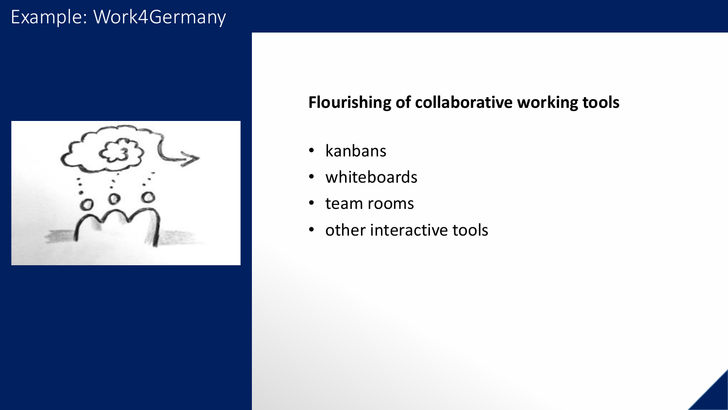# Example: Work4Germany



#### **Flourishing of collaborative working tools**

- kanbans
- whiteboards
- team rooms
- other interactive tools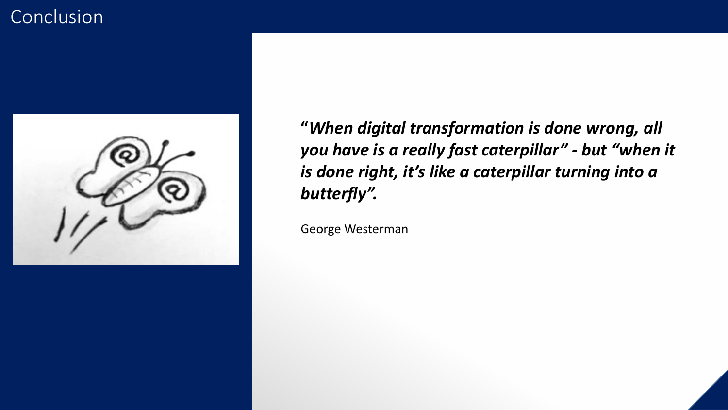# **Conclusion**



**"***When digital transformation is done wrong, all you have is a really fast caterpillar" - but "when it is done right, it's like a caterpillar turning into a butterfly".* 

George Westerman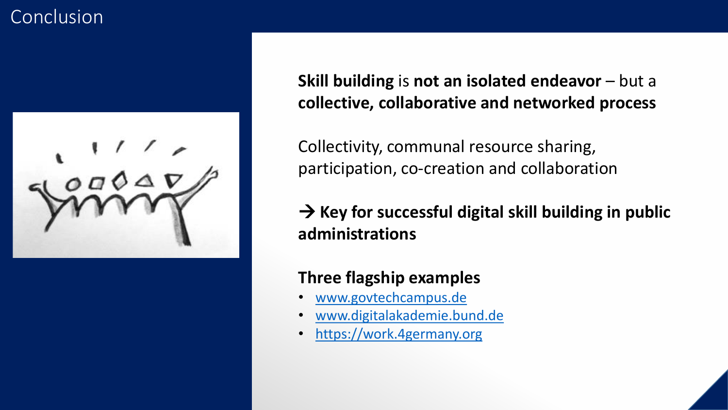# **Conclusion**



**Skill building** is **not an isolated endeavor** – but a **collective, collaborative and networked process**

Collectivity, communal resource sharing, participation, co-creation and collaboration

→ **Key for successful digital skill building in public administrations**

#### **Three flagship examples**

- [www.govtechcampus.de](http://www.govtechcampus.de/)
- [www.digitalakademie.bund.de](http://www.digitalakademie.bund.de/)
- [https://work.4germany.org](https://work.4germany.org/)